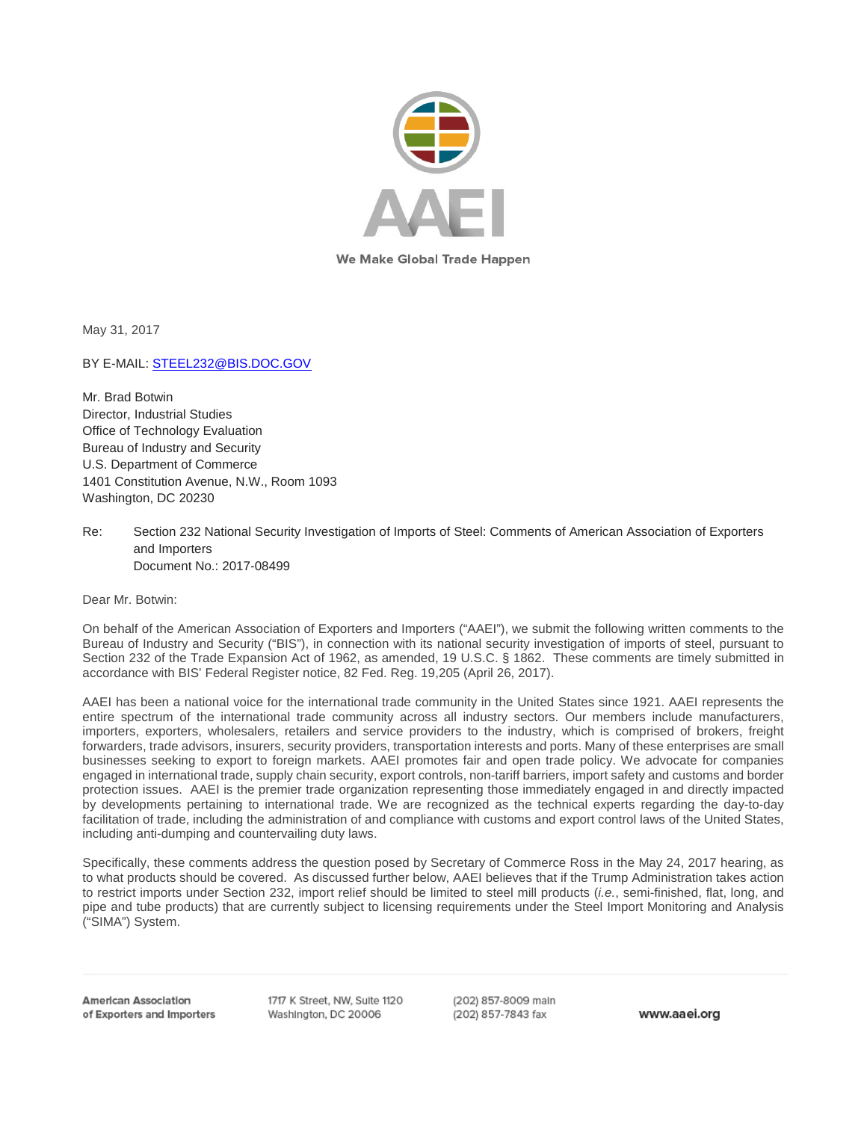

We Make Global Trade Happen

May 31, 2017

BY E-MAIL: STEEL232@BIS.DOC.GOV

Mr. Brad Botwin Director, Industrial Studies Office of Technology Evaluation Bureau of Industry and Security U.S. Department of Commerce 1401 Constitution Avenue, N.W., Room 1093 Washington, DC 20230

Re: Section 232 National Security Investigation of Imports of Steel: Comments of American Association of Exporters and Importers Document No.: 2017-08499

Dear Mr. Botwin:

On behalf of the American Association of Exporters and Importers ("AAEI"), we submit the following written comments to the Bureau of Industry and Security ("BIS"), in connection with its national security investigation of imports of steel, pursuant to Section 232 of the Trade Expansion Act of 1962, as amended, 19 U.S.C. § 1862. These comments are timely submitted in accordance with BIS' Federal Register notice, 82 Fed. Reg. 19,205 (April 26, 2017).

AAEI has been a national voice for the international trade community in the United States since 1921. AAEI represents the entire spectrum of the international trade community across all industry sectors. Our members include manufacturers, importers, exporters, wholesalers, retailers and service providers to the industry, which is comprised of brokers, freight forwarders, trade advisors, insurers, security providers, transportation interests and ports. Many of these enterprises are small businesses seeking to export to foreign markets. AAEI promotes fair and open trade policy. We advocate for companies engaged in international trade, supply chain security, export controls, non-tariff barriers, import safety and customs and border protection issues. AAEI is the premier trade organization representing those immediately engaged in and directly impacted by developments pertaining to international trade. We are recognized as the technical experts regarding the day-to-day facilitation of trade, including the administration of and compliance with customs and export control laws of the United States, including anti-dumping and countervailing duty laws.

Specifically, these comments address the question posed by Secretary of Commerce Ross in the May 24, 2017 hearing, as to what products should be covered. As discussed further below, AAEI believes that if the Trump Administration takes action to restrict imports under Section 232, import relief should be limited to steel mill products (*i.e.*, semi-finished, flat, long, and pipe and tube products) that are currently subject to licensing requirements under the Steel Import Monitoring and Analysis ("SIMA") System.

**American Association** of Exporters and Importers

1717 K Street, NW, Sulte 1120 Washington, DC 20006

(202) 857-8009 main (202) 857-7843 fax

www.aaei.org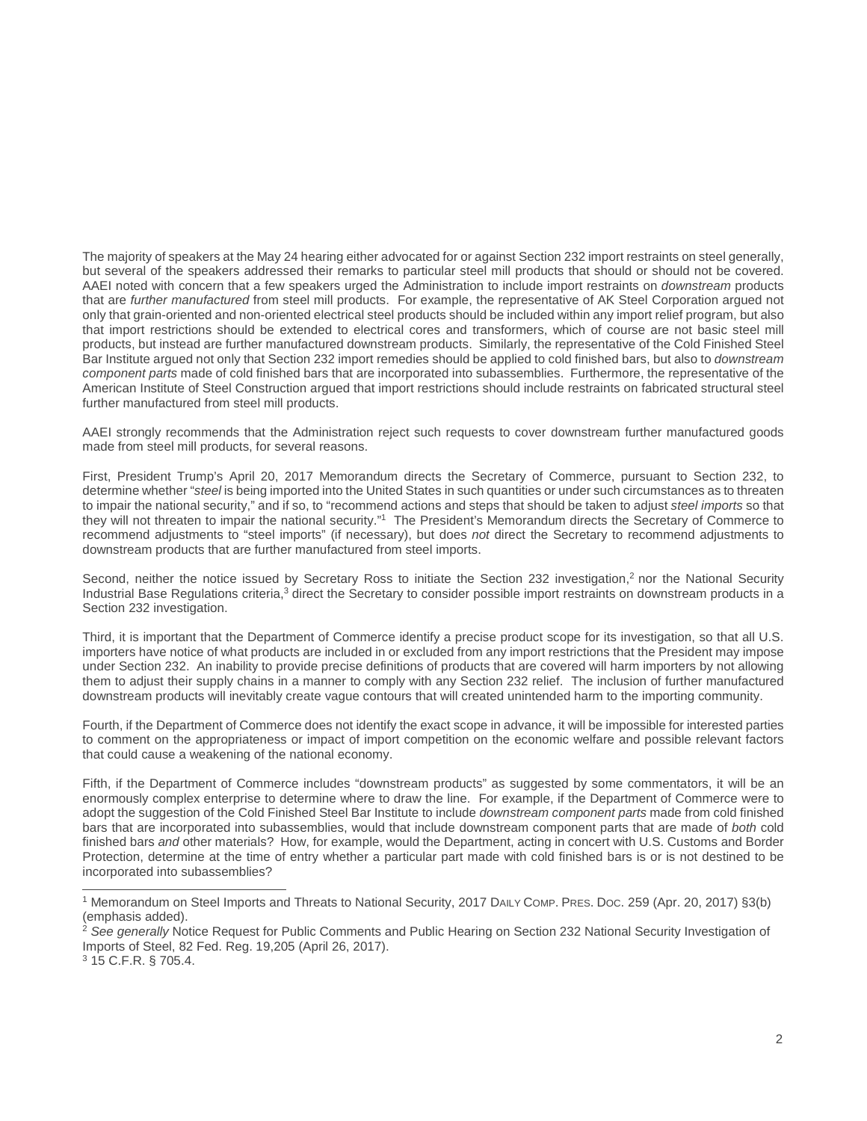The majority of speakers at the May 24 hearing either advocated for or against Section 232 import restraints on steel generally, but several of the speakers addressed their remarks to particular steel mill products that should or should not be covered. AAEI noted with concern that a few speakers urged the Administration to include import restraints on *downstream* products that are further manufactured from steel mill products. For example, the representative of AK Steel Corporation argued not only that grain-oriented and non-oriented electrical steel products should be included within any import relief program, but also that import restrictions should be extended to electrical cores and transformers, which of course are not basic steel mill products, but instead are further manufactured downstream products. Similarly, the representative of the Cold Finished Steel Bar Institute argued not only that Section 232 import remedies should be applied to cold finished bars, but also to *downstream* component parts made of cold finished bars that are incorporated into subassemblies. Furthermore, the representative of the American Institute of Steel Construction argued that import restrictions should include restraints on fabricated structural steel further manufactured from steel mill products.

AAEI strongly recommends that the Administration reject such requests to cover downstream further manufactured goods made from steel mill products, for several reasons.

First, President Trump's April 20, 2017 Memorandum directs the Secretary of Commerce, pursuant to Section 232, to determine whether "steel is being imported into the United States in such quantities or under such circumstances as to threaten to impair the national security," and if so, to "recommend actions and steps that should be taken to adjust steel imports so that they will not threaten to impair the national security."<sup>1</sup> The President's Memorandum directs the Secretary of Commerce to recommend adjustments to "steel imports" (if necessary), but does not direct the Secretary to recommend adjustments to downstream products that are further manufactured from steel imports.

Second, neither the notice issued by Secretary Ross to initiate the Section 232 investigation,<sup>2</sup> nor the National Security Industrial Base Regulations criteria,<sup>3</sup> direct the Secretary to consider possible import restraints on downstream products in a Section 232 investigation.

Third, it is important that the Department of Commerce identify a precise product scope for its investigation, so that all U.S. importers have notice of what products are included in or excluded from any import restrictions that the President may impose under Section 232. An inability to provide precise definitions of products that are covered will harm importers by not allowing them to adjust their supply chains in a manner to comply with any Section 232 relief. The inclusion of further manufactured downstream products will inevitably create vague contours that will created unintended harm to the importing community.

Fourth, if the Department of Commerce does not identify the exact scope in advance, it will be impossible for interested parties to comment on the appropriateness or impact of import competition on the economic welfare and possible relevant factors that could cause a weakening of the national economy.

Fifth, if the Department of Commerce includes "downstream products" as suggested by some commentators, it will be an enormously complex enterprise to determine where to draw the line. For example, if the Department of Commerce were to adopt the suggestion of the Cold Finished Steel Bar Institute to include *downstream component parts* made from cold finished bars that are incorporated into subassemblies, would that include downstream component parts that are made of both cold finished bars and other materials? How, for example, would the Department, acting in concert with U.S. Customs and Border Protection, determine at the time of entry whether a particular part made with cold finished bars is or is not destined to be incorporated into subassemblies?

 $\overline{a}$ 

<sup>1</sup> Memorandum on Steel Imports and Threats to National Security, 2017 DAILY COMP. PRES. DOC. 259 (Apr. 20, 2017) §3(b) (emphasis added).

<sup>&</sup>lt;sup>2</sup> See generally Notice Request for Public Comments and Public Hearing on Section 232 National Security Investigation of Imports of Steel, 82 Fed. Reg. 19,205 (April 26, 2017).

<sup>3</sup> 15 C.F.R. § 705.4.